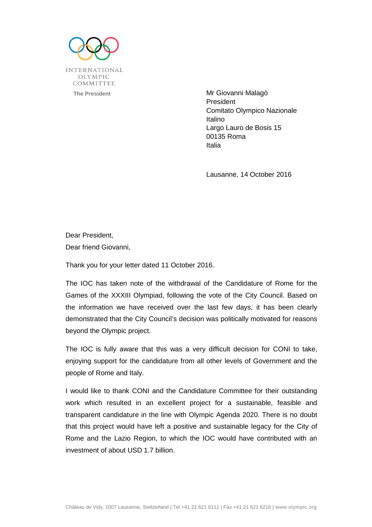

**The President Contract Contract Contract Contract Contract Contract Contract Contract Contract Contract Contract Contract Contract Contract Contract Contract Contract Contract Contract Contract Contract Contract Contract** President Comitato Olympico Nazionale Italino Largo Lauro de Bosis 15 00135 Roma Italia

Lausanne, 14 October 2016

Dear President, Dear friend Giovanni,

Thank you for your letter dated 11 October 2016.

The IOC has taken note of the withdrawal of the Candidature of Rome for the Games of the XXXIII Olympiad, following the vote of the City Council. Based on the information we have received over the last few days, it has been clearly demonstrated that the City Council's decision was politically motivated for reasons beyond the Olympic project.

The IOC is fully aware that this was a very difficult decision for CONI to take, enjoying support for the candidature from all other levels of Government and the people of Rome and Italy.

I would like to thank CONI and the Candidature Committee for their outstanding work which resulted in an excellent project for a sustainable, feasible and transparent candidature in the line with Olympic Agenda 2020. There is no doubt that this project would have left a positive and sustainable legacy for the City of Rome and the Lazio Region, to which the IOC would have contributed with an investment of about USD 1.7 billion.